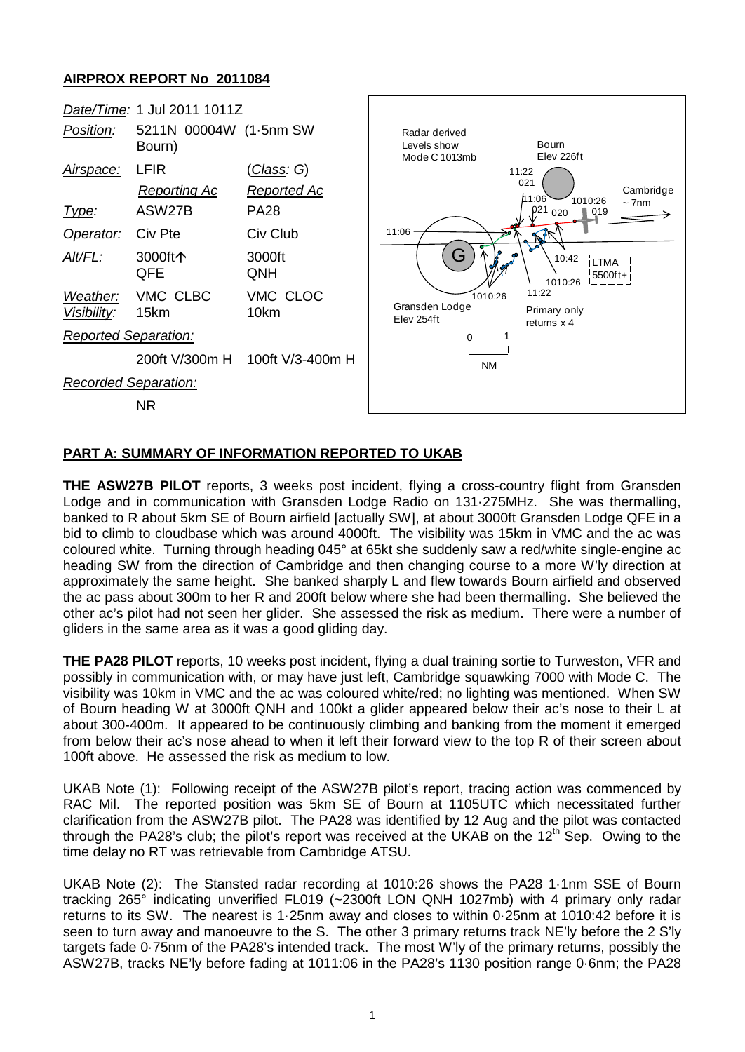## **AIRPROX REPORT No 2011084**



## **PART A: SUMMARY OF INFORMATION REPORTED TO UKAB**

**THE ASW27B PILOT** reports, 3 weeks post incident, flying a cross-country flight from Gransden Lodge and in communication with Gransden Lodge Radio on 131·275MHz. She was thermalling, banked to R about 5km SE of Bourn airfield [actually SW], at about 3000ft Gransden Lodge QFE in a bid to climb to cloudbase which was around 4000ft. The visibility was 15km in VMC and the ac was coloured white. Turning through heading 045° at 65kt she suddenly saw a red/white single-engine ac heading SW from the direction of Cambridge and then changing course to a more W'ly direction at approximately the same height. She banked sharply L and flew towards Bourn airfield and observed the ac pass about 300m to her R and 200ft below where she had been thermalling. She believed the other ac's pilot had not seen her glider. She assessed the risk as medium. There were a number of gliders in the same area as it was a good gliding day.

**THE PA28 PILOT** reports, 10 weeks post incident, flying a dual training sortie to Turweston, VFR and possibly in communication with, or may have just left, Cambridge squawking 7000 with Mode C. The visibility was 10km in VMC and the ac was coloured white/red; no lighting was mentioned. When SW of Bourn heading W at 3000ft QNH and 100kt a glider appeared below their ac's nose to their L at about 300-400m. It appeared to be continuously climbing and banking from the moment it emerged from below their ac's nose ahead to when it left their forward view to the top R of their screen about 100ft above. He assessed the risk as medium to low.

UKAB Note (1): Following receipt of the ASW27B pilot's report, tracing action was commenced by RAC Mil. The reported position was 5km SE of Bourn at 1105UTC which necessitated further clarification from the ASW27B pilot. The PA28 was identified by 12 Aug and the pilot was contacted through the PA28's club; the pilot's report was received at the UKAB on the  $12<sup>th</sup>$  Sep. Owing to the time delay no RT was retrievable from Cambridge ATSU.

UKAB Note (2): The Stansted radar recording at 1010:26 shows the PA28 1·1nm SSE of Bourn tracking 265° indicating unverified FL019 (~2300ft LON QNH 1027mb) with 4 primary only radar returns to its SW. The nearest is 1·25nm away and closes to within 0·25nm at 1010:42 before it is seen to turn away and manoeuvre to the S. The other 3 primary returns track NE'ly before the 2 S'ly targets fade 0·75nm of the PA28's intended track. The most W'ly of the primary returns, possibly the ASW27B, tracks NE'ly before fading at 1011:06 in the PA28's 1130 position range 0·6nm; the PA28